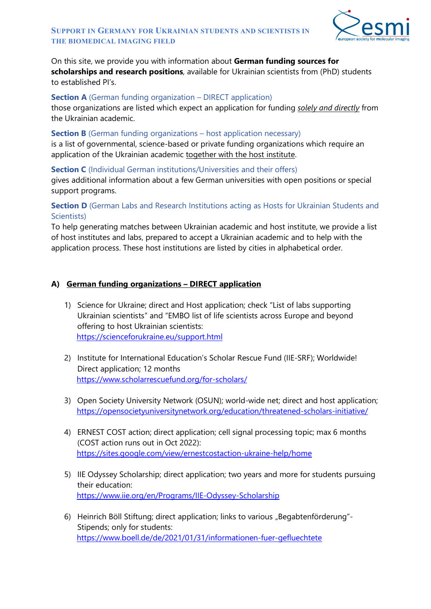

## On this site, we provide you with information about **German funding sources for scholarships and research positions**, available for Ukrainian scientists from (PhD) students to established PI's.

### **Section A** (German funding organization – DIRECT application)

those organizations are listed which expect an application for funding *solely and directly* from the Ukrainian academic.

### **Section B** (German funding organizations – host application necessary)

is a list of governmental, science-based or private funding organizations which require an application of the Ukrainian academic together with the host institute.

**Section C** (Individual German institutions/Universities and their offers)

gives additional information about a few German universities with open positions or special support programs.

# **Section D** (German Labs and Research Institutions acting as Hosts for Ukrainian Students and Scientists)

To help generating matches between Ukrainian academic and host institute, we provide a list of host institutes and labs, prepared to accept a Ukrainian academic and to help with the application process. These host institutions are listed by cities in alphabetical order.

## **A) German funding organizations – DIRECT application**

- 1) Science for Ukraine; direct and Host application; check "List of labs supporting Ukrainian scientists" and "EMBO list of life scientists across Europe and beyond offering to host Ukrainian scientists: <https://scienceforukraine.eu/support.html>
- 2) Institute for International Education's Scholar Rescue Fund (IIE-SRF); Worldwide! Direct application; 12 months <https://www.scholarrescuefund.org/for-scholars/>
- 3) Open Society University Network (OSUN); world-wide net; direct and host application; <https://opensocietyuniversitynetwork.org/education/threatened-scholars-initiative/>
- 4) ERNEST COST action; direct application; cell signal processing topic; max 6 months (COST action runs out in Oct 2022): <https://sites.google.com/view/ernestcostaction-ukraine-help/home>
- 5) IIE Odyssey Scholarship; direct application; two years and more for students pursuing their education: <https://www.iie.org/en/Programs/IIE-Odyssey-Scholarship>
- 6) Heinrich Böll Stiftung; direct application; links to various "Begabtenförderung"-Stipends; only for students: <https://www.boell.de/de/2021/01/31/informationen-fuer-gefluechtete>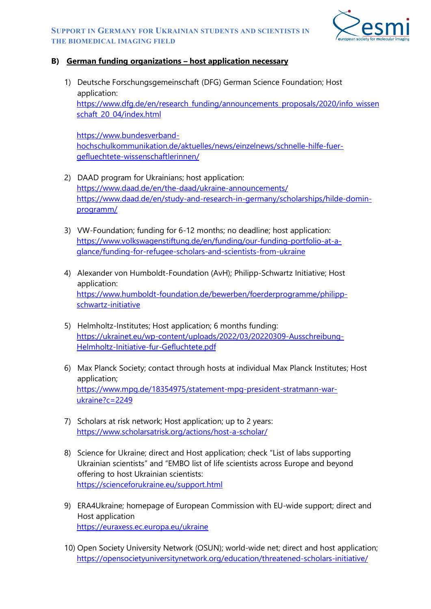#### **SUPPORT IN GERMANY FOR UKRAINIAN STUDENTS AND SCIENTISTS IN THE BIOMEDICAL IMAGING FIELD**



## **B) German funding organizations – host application necessary**

1) Deutsche Forschungsgemeinschaft (DFG) German Science Foundation; Host application: [https://www.dfg.de/en/research\\_funding/announcements\\_proposals/2020/info\\_wissen](https://www.dfg.de/en/research_funding/announcements_proposals/2020/info_wissenschaft_20_04/index.html) [schaft\\_20\\_04/index.html](https://www.dfg.de/en/research_funding/announcements_proposals/2020/info_wissenschaft_20_04/index.html)

[https://www.bundesverband](https://www.bundesverband-hochschulkommunikation.de/aktuelles/news/einzelnews/schnelle-hilfe-fuer-gefluechtete-wissenschaftlerinnen/)[hochschulkommunikation.de/aktuelles/news/einzelnews/schnelle-hilfe-fuer](https://www.bundesverband-hochschulkommunikation.de/aktuelles/news/einzelnews/schnelle-hilfe-fuer-gefluechtete-wissenschaftlerinnen/)[gefluechtete-wissenschaftlerinnen/](https://www.bundesverband-hochschulkommunikation.de/aktuelles/news/einzelnews/schnelle-hilfe-fuer-gefluechtete-wissenschaftlerinnen/)

- 2) DAAD program for Ukrainians; host application: <https://www.daad.de/en/the-daad/ukraine-announcements/> [https://www.daad.de/en/study-and-research-in-germany/scholarships/hilde-domin](https://www.daad.de/en/study-and-research-in-germany/scholarships/hilde-domin-programm/)[programm/](https://www.daad.de/en/study-and-research-in-germany/scholarships/hilde-domin-programm/)
- 3) VW-Foundation; funding for 6-12 months; no deadline; host application: [https://www.volkswagenstiftung.de/en/funding/our-funding-portfolio-at-a](https://www.volkswagenstiftung.de/en/funding/our-funding-portfolio-at-a-glance/funding-for-refugee-scholars-and-scientists-from-ukraine)[glance/funding-for-refugee-scholars-and-scientists-from-ukraine](https://www.volkswagenstiftung.de/en/funding/our-funding-portfolio-at-a-glance/funding-for-refugee-scholars-and-scientists-from-ukraine)
- 4) Alexander von Humboldt-Foundation (AvH); Philipp-Schwartz Initiative; Host application: [https://www.humboldt-foundation.de/bewerben/foerderprogramme/philipp](https://www.humboldt-foundation.de/bewerben/foerderprogramme/philipp-schwartz-initiative)[schwartz-initiative](https://www.humboldt-foundation.de/bewerben/foerderprogramme/philipp-schwartz-initiative)
- 5) Helmholtz-Institutes; Host application; 6 months funding: [https://ukrainet.eu/wp-content/uploads/2022/03/20220309-Ausschreibung-](https://ukrainet.eu/wp-content/uploads/2022/03/20220309-Ausschreibung-Helmholtz-Initiative-fur-Gefluchtete.pdf)[Helmholtz-Initiative-fur-Gefluchtete.pdf](https://ukrainet.eu/wp-content/uploads/2022/03/20220309-Ausschreibung-Helmholtz-Initiative-fur-Gefluchtete.pdf)
- 6) Max Planck Society; contact through hosts at individual Max Planck Institutes; Host application; [https://www.mpg.de/18354975/statement-mpg-president-stratmann-war](https://www.mpg.de/18354975/statement-mpg-president-stratmann-war-ukraine?c=2249)[ukraine?c=2249](https://www.mpg.de/18354975/statement-mpg-president-stratmann-war-ukraine?c=2249)
- 7) Scholars at risk network; Host application; up to 2 years: <https://www.scholarsatrisk.org/actions/host-a-scholar/>
- 8) Science for Ukraine; direct and Host application; check "List of labs supporting Ukrainian scientists" and "EMBO list of life scientists across Europe and beyond offering to host Ukrainian scientists: <https://scienceforukraine.eu/support.html>
- 9) ERA4Ukraine; homepage of European Commission with EU-wide support; direct and Host application <https://euraxess.ec.europa.eu/ukraine>
- 10) Open Society University Network (OSUN); world-wide net; direct and host application; <https://opensocietyuniversitynetwork.org/education/threatened-scholars-initiative/>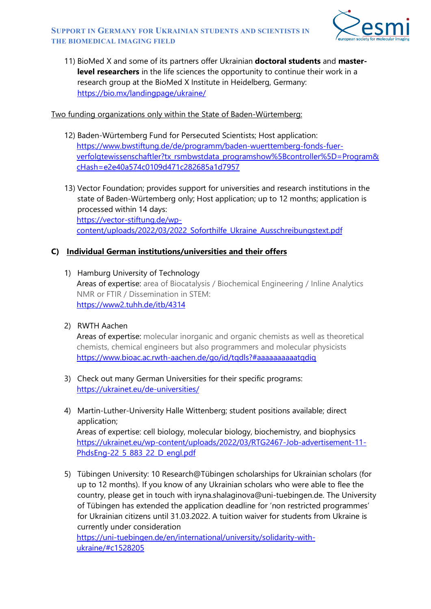

11) BioMed X and some of its partners offer Ukrainian **doctoral students** and **masterlevel researchers** in the life sciences the opportunity to continue their work in a research group at the BioMed X Institute in Heidelberg, Germany: <https://bio.mx/landingpage/ukraine/>

### Two funding organizations only within the State of Baden-Würtemberg:

- 12) Baden-Würtemberg Fund for Persecuted Scientists; Host application: [https://www.bwstiftung.de/de/programm/baden-wuerttemberg-fonds-fuer](https://www.bwstiftung.de/de/programm/baden-wuerttemberg-fonds-fuer-verfolgtewissenschaftler?tx_rsmbwstdata_programshow%5Bcontroller%5D=Program&cHash=e2e40a574c0109d471c282685a1d7957)[verfolgtewissenschaftler?tx\\_rsmbwstdata\\_programshow%5Bcontroller%5D=Program&](https://www.bwstiftung.de/de/programm/baden-wuerttemberg-fonds-fuer-verfolgtewissenschaftler?tx_rsmbwstdata_programshow%5Bcontroller%5D=Program&cHash=e2e40a574c0109d471c282685a1d7957) [cHash=e2e40a574c0109d471c282685a1d7957](https://www.bwstiftung.de/de/programm/baden-wuerttemberg-fonds-fuer-verfolgtewissenschaftler?tx_rsmbwstdata_programshow%5Bcontroller%5D=Program&cHash=e2e40a574c0109d471c282685a1d7957)
- 13) Vector Foundation; provides support for universities and research institutions in the state of Baden-Würtemberg only; Host application; up to 12 months; application is processed within 14 days: [https://vector-stiftung.de/wp](https://vector-stiftung.de/wp-content/uploads/2022/03/2022_Soforthilfe_Ukraine_Ausschreibungstext.pdf)[content/uploads/2022/03/2022\\_Soforthilfe\\_Ukraine\\_Ausschreibungstext.pdf](https://vector-stiftung.de/wp-content/uploads/2022/03/2022_Soforthilfe_Ukraine_Ausschreibungstext.pdf)

## **C) Individual German institutions/universities and their offers**

- 1) Hamburg University of Technology Areas of expertise: area of Biocatalysis / Biochemical Engineering / Inline Analytics NMR or FTIR / Dissemination in STEM: <https://www2.tuhh.de/itb/4314>
- 2) RWTH Aachen

Areas of expertise: molecular inorganic and organic chemists as well as theoretical chemists, chemical engineers but also programmers and molecular physicists <https://www.bioac.ac.rwth-aachen.de/go/id/tqdls?#aaaaaaaaaatqdiq>

- 3) Check out many German Universities for their specific programs: <https://ukrainet.eu/de-universities/>
- 4) Martin-Luther-University Halle Wittenberg; student positions available; direct application; Areas of expertise: cell biology, molecular biology, biochemistry, and biophysics [https://ukrainet.eu/wp-content/uploads/2022/03/RTG2467-Job-advertisement-11-](https://ukrainet.eu/wp-content/uploads/2022/03/RTG2467-Job-advertisement-11-PhdsEng-22_5_883_22_D_engl.pdf) [PhdsEng-22\\_5\\_883\\_22\\_D\\_engl.pdf](https://ukrainet.eu/wp-content/uploads/2022/03/RTG2467-Job-advertisement-11-PhdsEng-22_5_883_22_D_engl.pdf)
- 5) Tübingen University: 10 Research@Tübingen scholarships for Ukrainian scholars (for up to 12 months). If you know of any Ukrainian scholars who were able to flee the country, please get in touch with [iryna.shalaginova@uni-tuebingen.de.](mailto:iryna.shalaginova@uni-tuebingen.de) The University of Tübingen has extended the application deadline for 'non restricted programmes' for Ukrainian citizens until 31.03.2022. A tuition waiver for students from Ukraine is currently under consideration

[https://uni-tuebingen.de/en/international/university/solidarity-with](https://uni-tuebingen.de/en/international/university/solidarity-with-ukraine/#c1528205)[ukraine/#c1528205](https://uni-tuebingen.de/en/international/university/solidarity-with-ukraine/#c1528205)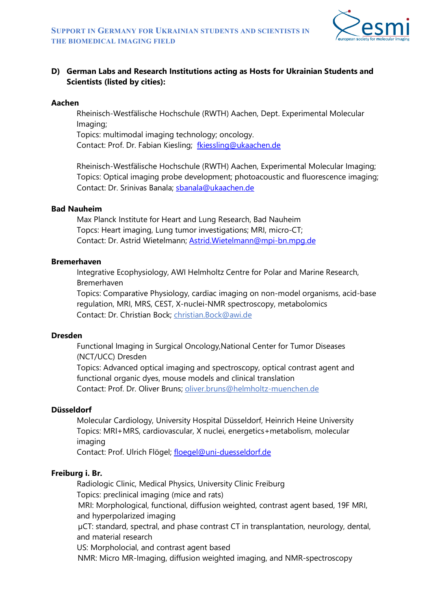

# **D) German Labs and Research Institutions acting as Hosts for Ukrainian Students and Scientists (listed by cities):**

### **Aachen**

Rheinisch-Westfälische Hochschule (RWTH) Aachen, Dept. Experimental Molecular Imaging;

Topics: multimodal imaging technology; oncology. Contact: Prof. Dr. Fabian Kiesling; [fkiessling@ukaachen.de](mailto:fkiessling@ukaachen.de)

Rheinisch-Westfälische Hochschule (RWTH) Aachen, Experimental Molecular Imaging; Topics: Optical imaging probe development; photoacoustic and fluorescence imaging; Contact: Dr. Srinivas Banala; [sbanala@ukaachen.de](mailto:sbanala@ukaachen.de)

### **Bad Nauheim**

Max Planck Institute for Heart and Lung Research, Bad Nauheim Topcs: Heart imaging, Lung tumor investigations; MRI, micro-CT; Contact: Dr. Astrid Wietelmann; [Astrid.Wietelmann@mpi-bn.mpg.de](mailto:Astrid.Wietelmann@mpi-bn.mpg.de)

### **Bremerhaven**

Integrative Ecophysiology, AWI Helmholtz Centre for Polar and Marine Research, Bremerhaven

Topics: Comparative Physiology, cardiac imaging on non-model organisms, acid-base regulation, MRI, MRS, CEST, X-nuclei-NMR spectroscopy, metabolomics Contact: Dr. Christian Bock; [christian.Bock@awi.de](mailto:christian.Bock@awi.de)

#### **Dresden**

Functional Imaging in Surgical Oncology,National Center for Tumor Diseases (NCT/UCC) Dresden Topics: Advanced optical imaging and spectroscopy, optical contrast agent and functional organic dyes, mouse models and clinical translation Contact: Prof. Dr. Oliver Bruns; [oliver.bruns@helmholtz-muenchen.de](mailto:oliver.bruns@helmholtz-muenchen.de)

## **Düsseldorf**

Molecular Cardiology, University Hospital Düsseldorf, Heinrich Heine University Topics: MRI+MRS, cardiovascular, X nuclei, energetics+metabolism, molecular imaging

Contact: Prof. Ulrich Flögel; [floegel@uni-duesseldorf.de](mailto:floegel@uni-duesseldorf.de)

## **Freiburg i. Br.**

Radiologic Clinic, Medical Physics, University Clinic Freiburg Topics: preclinical imaging (mice and rats) MRI: Morphological, functional, diffusion weighted, contrast agent based, 19F MRI, and hyperpolarized imaging µCT: standard, spectral, and phase contrast CT in transplantation, neurology, dental, and material research US: Morpholocial, and contrast agent based

NMR: Micro MR-Imaging, diffusion weighted imaging, and NMR-spectroscopy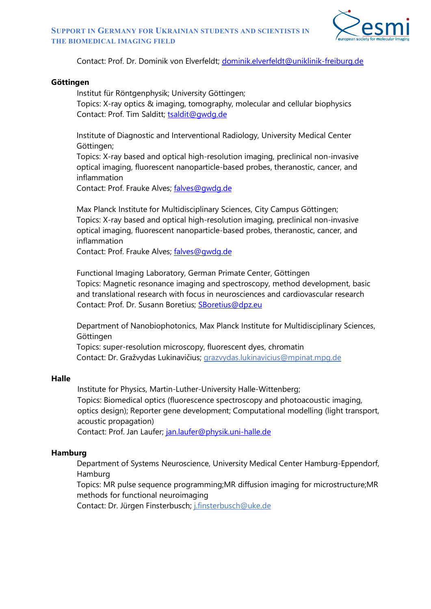

Contact: Prof. Dr. Dominik von Elverfeldt; [dominik.elverfeldt@uniklinik-freiburg.de](mailto:dominik.elverfeldt@uniklinik-freiburg.de)

#### **Göttingen**

Institut für Röntgenphysik; University Göttingen;

Topics: X-ray optics & imaging, tomography, molecular and cellular biophysics Contact: Prof. Tim Salditt; [tsaldit@gwdg.de](mailto:tsaldit@gwdg.de)

Institute of Diagnostic and Interventional Radiology, University Medical Center Göttingen;

Topics: X-ray based and optical high-resolution imaging, preclinical non-invasive optical imaging, fluorescent nanoparticle-based probes, theranostic, cancer, and inflammation

Contact: Prof. Frauke Alves; [falves@gwdg.de](mailto:falves@gwdg.de)

Max Planck Institute for Multidisciplinary Sciences, City Campus Göttingen; Topics: X-ray based and optical high-resolution imaging, preclinical non-invasive optical imaging, fluorescent nanoparticle-based probes, theranostic, cancer, and inflammation

Contact: Prof. Frauke Alves; [falves@gwdg.de](mailto:falves@gwdg.de)

Functional Imaging Laboratory, German Primate Center, Göttingen Topics: Magnetic resonance imaging and spectroscopy, method development, basic and translational research with focus in neurosciences and cardiovascular research Contact: Prof. Dr. Susann Boretius; [SBoretius@dpz.eu](mailto:SBoretius@dpz.eu)

Department of Nanobiophotonics, Max Planck Institute for Multidisciplinary Sciences, Göttingen

Topics: super-resolution microscopy, fluorescent dyes, chromatin Contact: Dr. Gražvydas Lukinavičius; [grazvydas.lukinavicius@mpinat.mpg.de](mailto:grazvydas.lukinavicius@mpinat.mpg.de)

### **Halle**

Institute for Physics, Martin-Luther-University Halle-Wittenberg; Topics: Biomedical optics (fluorescence spectroscopy and photoacoustic imaging, optics design); Reporter gene development; Computational modelling (light transport, acoustic propagation) Contact: Prof. Jan Laufer; [jan.laufer@physik.uni-halle.de](mailto:jan.laufer@physik.uni-halle.de)

#### **Hamburg**

Department of Systems Neuroscience, University Medical Center Hamburg-Eppendorf, Hamburg

Topics: MR pulse sequence programming;MR diffusion imaging for microstructure;MR methods for functional neuroimaging

Contact: Dr. Jürgen Finsterbusch; [j.finsterbusch@uke.de](mailto:j.finsterbusch@uke.de)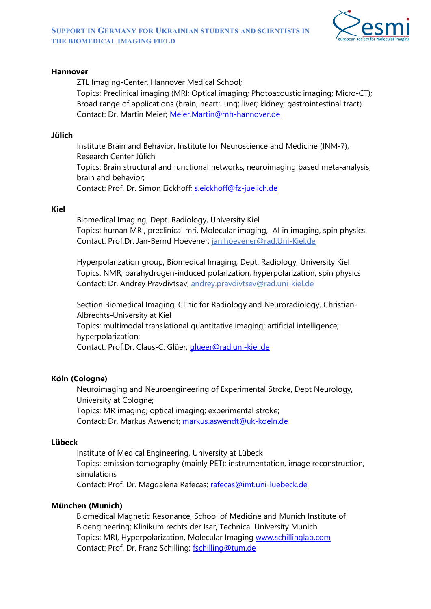

### **Hannover**

ZTL Imaging-Center, Hannover Medical School; Topics: Preclinical imaging (MRI; Optical imaging; Photoacoustic imaging; Micro-CT); Broad range of applications (brain, heart; lung; liver; kidney; gastrointestinal tract) Contact: Dr. Martin Meier; [Meier.Martin@mh-hannover.de](mailto:Meier.Martin@mh-hannover.de)

### **Jülich**

Institute Brain and Behavior, Institute for Neuroscience and Medicine (INM-7), Research Center Jülich Topics: Brain structural and functional networks, neuroimaging based meta-analysis; brain and behavior; Contact: Prof. Dr. Simon Eickhoff; [s.eickhoff@fz-juelich.de](mailto:s.eickhoff@fz-juelich.de)

### **Kiel**

Biomedical Imaging, Dept. Radiology, University Kiel Topics: human MRI, preclinical mri, Molecular imaging, AI in imaging, spin physics Contact: Prof.Dr. Jan-Bernd Hoevener; [jan.hoevener@rad.Uni-Kiel.de](mailto:jan.hoevener@rad.Uni-Kiel.de)

Hyperpolarization group, Biomedical Imaging, Dept. Radiology, University Kiel Topics: NMR, parahydrogen-induced polarization, hyperpolarization, spin physics Contact: Dr. Andrey Pravdivtsev; [andrey.pravdivtsev@rad.uni-kiel.de](mailto:andrey.pravdivtsev@rad.uni-kiel.de)

Section Biomedical Imaging, Clinic for Radiology and Neuroradiology, Christian-Albrechts-University at Kiel Topics: multimodal translational quantitative imaging; artificial intelligence; hyperpolarization;

Contact: Prof.Dr. Claus-C. Glüer; [glueer@rad.uni-kiel.de](mailto:glueer@rad.uni-kiel.de)

## **Köln (Cologne)**

Neuroimaging and Neuroengineering of Experimental Stroke, Dept Neurology, University at Cologne; Topics: MR imaging; optical imaging; experimental stroke; Contact: Dr. Markus Aswendt; [markus.aswendt@uk-koeln.de](mailto:markus.aswendt@uk-koeln.de)

## **Lübeck**

Institute of Medical Engineering, University at Lübeck Topics: emission tomography (mainly PET); instrumentation, image reconstruction, simulations Contact: Prof. Dr. Magdalena Rafecas; [rafecas@imt.uni-luebeck.de](mailto:rafecas@imt.uni-luebeck.de)

## **München (Munich)**

Biomedical Magnetic Resonance, School of Medicine and Munich Institute of Bioengineering; Klinikum rechts der Isar, Technical University Munich Topics: MRI, Hyperpolarization, Molecular Imaging [www.schillinglab.com](http://www.schillinglab.com/) Contact: Prof. Dr. Franz Schilling; [fschilling@tum.de](mailto:fschilling@tum.de)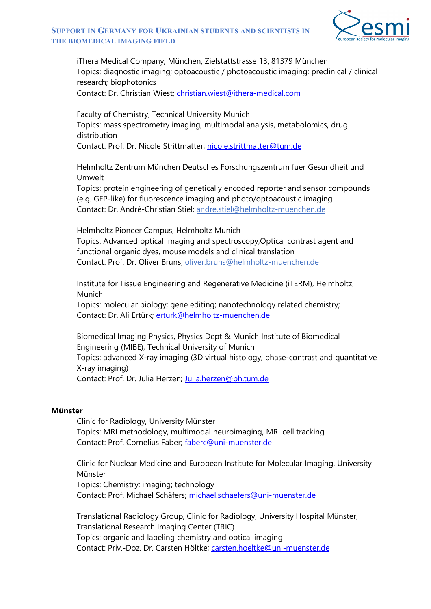

#### **SUPPORT IN GERMANY FOR UKRAINIAN STUDENTS AND SCIENTISTS IN THE BIOMEDICAL IMAGING FIELD**

iThera Medical Company; München, Zielstattstrasse 13, 81379 München Topics: diagnostic imaging; optoacoustic / photoacoustic imaging; preclinical / clinical research; biophotonics

Contact: Dr. Christian Wiest; [christian.wiest@ithera-medical.com](mailto:christian.wiest@ithera-medical.com)

Faculty of Chemistry, Technical University Munich Topics: mass spectrometry imaging, multimodal analysis, metabolomics, drug distribution

Contact: Prof. Dr. Nicole Strittmatter; [nicole.strittmatter@tum.de](mailto:nicole.strittmatter@tum.de)

Helmholtz Zentrum München Deutsches Forschungszentrum fuer Gesundheit und Umwelt

Topics: protein engineering of genetically encoded reporter and sensor compounds (e.g. GFP-like) for fluorescence imaging and photo/optoacoustic imaging Contact: Dr. André-Christian Stiel; [andre.stiel@helmholtz-muenchen.de](mailto:andre.stiel@helmholtz-muenchen.de)

Helmholtz Pioneer Campus, Helmholtz Munich Topics: Advanced optical imaging and spectroscopy,Optical contrast agent and functional organic dyes, mouse models and clinical translation Contact: Prof. Dr. Oliver Bruns; [oliver.bruns@helmholtz-muenchen.de](mailto:oliver.bruns@helmholtz-muenchen.de)

Institute for Tissue Engineering and Regenerative Medicine (iTERM), Helmholtz, Munich

Topics: molecular biology; gene editing; nanotechnology related chemistry; Contact: Dr. Ali Ertürk; [erturk@helmholtz-muenchen.de](mailto:erturk@helmholtz-muenchen.de)

Biomedical Imaging Physics, Physics Dept & Munich Institute of Biomedical Engineering (MIBE), Technical University of Munich Topics: advanced X-ray imaging (3D virtual histology, phase-contrast and quantitative X-ray imaging) Contact: Prof. Dr. Julia Herzen; [Julia.herzen@ph.tum.de](mailto:Julia.herzen@ph.tum.de)

#### **Münster**

Clinic for Radiology, University Münster Topics: MRI methodology, multimodal neuroimaging, MRI cell tracking Contact: Prof. Cornelius Faber; [faberc@uni-muenster.de](mailto:faberc@uni-muenster.de)

Clinic for Nuclear Medicine and European Institute for Molecular Imaging, University Münster Topics: Chemistry; imaging; technology Contact: Prof. Michael Schäfers; [michael.schaefers@uni-muenster.de](mailto:michael.schaefers@uni-muenster.de)

Translational Radiology Group, Clinic for Radiology, University Hospital Münster, Translational Research Imaging Center (TRIC) Topics: organic and labeling chemistry and optical imaging Contact: Priv.-Doz. Dr. Carsten Höltke; [carsten.hoeltke@uni-muenster.de](mailto:carsten.hoeltke@uni-muenster.de)